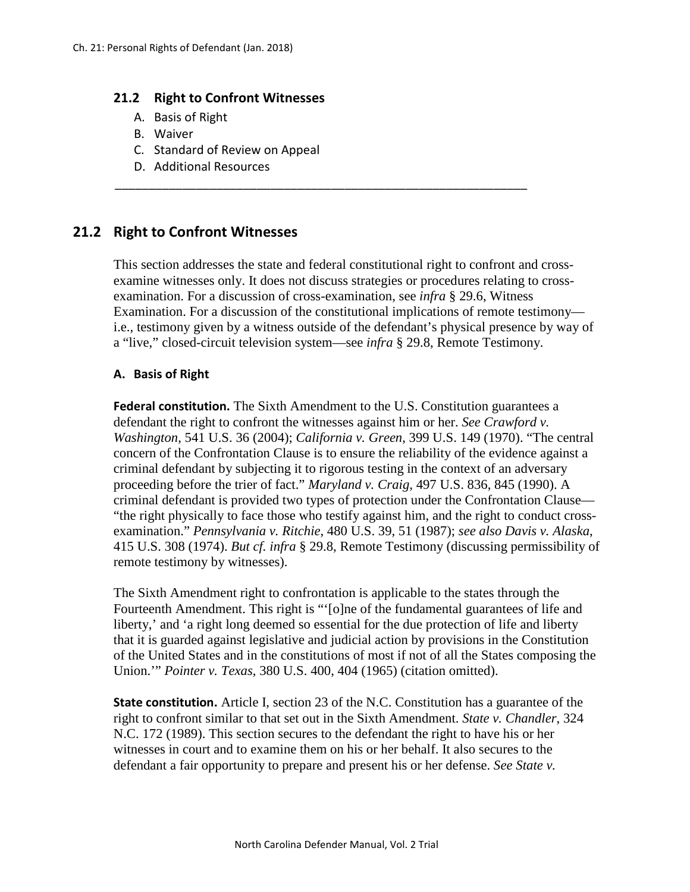#### **21.2 Right to Confront Witnesses**

- A. Basis of Right
- B. Waiver
- C. Standard of Review on Appeal
- D. Additional Resources

# **21.2 Right to Confront Witnesses**

This section addresses the state and federal constitutional right to confront and crossexamine witnesses only. It does not discuss strategies or procedures relating to crossexamination. For a discussion of cross-examination, see *infra* § 29.6, Witness Examination. For a discussion of the constitutional implications of remote testimony i.e., testimony given by a witness outside of the defendant's physical presence by way of a "live," closed-circuit television system—see *infra* § 29.8, Remote Testimony.

\_\_\_\_\_\_\_\_\_\_\_\_\_\_\_\_\_\_\_\_\_\_\_\_\_\_\_\_\_\_\_\_\_\_\_\_\_\_\_\_\_\_\_\_\_\_\_\_\_\_\_\_\_\_\_\_\_\_\_\_\_

#### **A. Basis of Right**

**Federal constitution.** The Sixth Amendment to the U.S. Constitution guarantees a defendant the right to confront the witnesses against him or her. *See Crawford v. Washington*, 541 U.S. 36 (2004); *California v. Green*, 399 U.S. 149 (1970). "The central concern of the Confrontation Clause is to ensure the reliability of the evidence against a criminal defendant by subjecting it to rigorous testing in the context of an adversary proceeding before the trier of fact." *Maryland v. Craig*, 497 U.S. 836, 845 (1990). A criminal defendant is provided two types of protection under the Confrontation Clause— "the right physically to face those who testify against him, and the right to conduct crossexamination." *Pennsylvania v. Ritchie*, 480 U.S. 39, 51 (1987); *see also Davis v. Alaska*, 415 U.S. 308 (1974). *But cf. infra* § 29.8, Remote Testimony (discussing permissibility of remote testimony by witnesses).

The Sixth Amendment right to confrontation is applicable to the states through the Fourteenth Amendment. This right is "'[o]ne of the fundamental guarantees of life and liberty,' and 'a right long deemed so essential for the due protection of life and liberty that it is guarded against legislative and judicial action by provisions in the Constitution of the United States and in the constitutions of most if not of all the States composing the Union.'" *Pointer v. Texas*, 380 U.S. 400, 404 (1965) (citation omitted).

**State constitution.** Article I, section 23 of the N.C. Constitution has a guarantee of the right to confront similar to that set out in the Sixth Amendment. *State v. Chandler*, 324 N.C. 172 (1989). This section secures to the defendant the right to have his or her witnesses in court and to examine them on his or her behalf. It also secures to the defendant a fair opportunity to prepare and present his or her defense. *See State v.*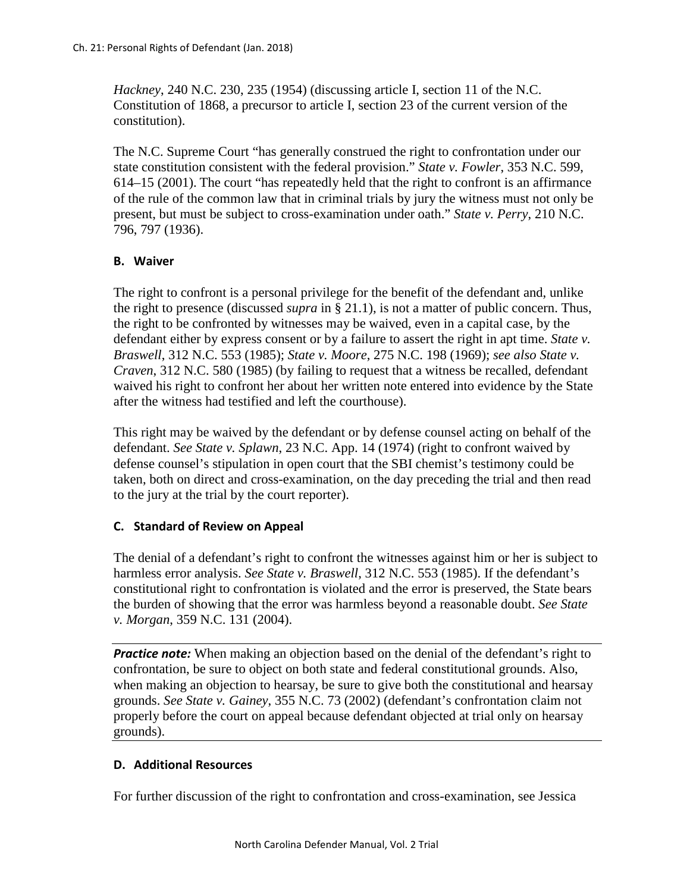*Hackney*, 240 N.C. 230, 235 (1954) (discussing article I, section 11 of the N.C. Constitution of 1868, a precursor to article I, section 23 of the current version of the constitution).

The N.C. Supreme Court "has generally construed the right to confrontation under our state constitution consistent with the federal provision." *State v. Fowler*, 353 N.C. 599, 614–15 (2001). The court "has repeatedly held that the right to confront is an affirmance of the rule of the common law that in criminal trials by jury the witness must not only be present, but must be subject to cross-examination under oath." *State v. Perry*, 210 N.C. 796, 797 (1936).

### **B. Waiver**

The right to confront is a personal privilege for the benefit of the defendant and, unlike the right to presence (discussed *supra* in § 21.1), is not a matter of public concern. Thus, the right to be confronted by witnesses may be waived, even in a capital case, by the defendant either by express consent or by a failure to assert the right in apt time. *State v. Braswell*, 312 N.C. 553 (1985); *State v. Moore*, 275 N.C. 198 (1969); *see also State v. Craven*, 312 N.C. 580 (1985) (by failing to request that a witness be recalled, defendant waived his right to confront her about her written note entered into evidence by the State after the witness had testified and left the courthouse).

This right may be waived by the defendant or by defense counsel acting on behalf of the defendant. *See State v. Splawn*, 23 N.C. App. 14 (1974) (right to confront waived by defense counsel's stipulation in open court that the SBI chemist's testimony could be taken, both on direct and cross-examination, on the day preceding the trial and then read to the jury at the trial by the court reporter).

## **C. Standard of Review on Appeal**

The denial of a defendant's right to confront the witnesses against him or her is subject to harmless error analysis. *See State v. Braswell*, 312 N.C. 553 (1985). If the defendant's constitutional right to confrontation is violated and the error is preserved, the State bears the burden of showing that the error was harmless beyond a reasonable doubt. *See State v. Morgan*, 359 N.C. 131 (2004).

**Practice note:** When making an objection based on the denial of the defendant's right to confrontation, be sure to object on both state and federal constitutional grounds. Also, when making an objection to hearsay, be sure to give both the constitutional and hearsay grounds. *See State v. Gainey*, 355 N.C. 73 (2002) (defendant's confrontation claim not properly before the court on appeal because defendant objected at trial only on hearsay grounds).

### **D. Additional Resources**

For further discussion of the right to confrontation and cross-examination, see Jessica